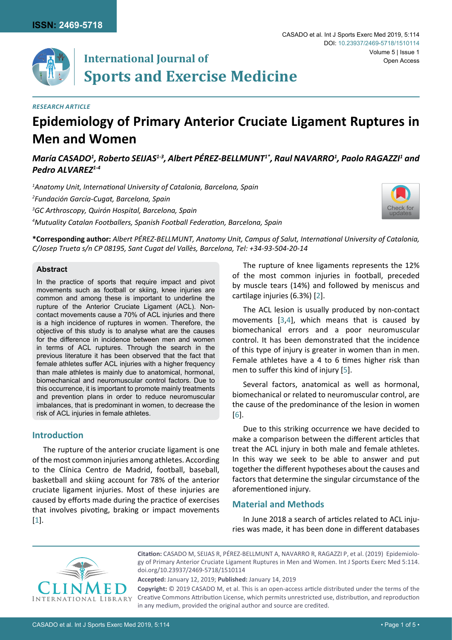

# **International Journal of Sports and Exercise Medicine**

## *Research Article*

# **Epidemiology of Primary Anterior Cruciate Ligament Ruptures in Men and Women**

## María CASADO<sup>1</sup>, Roberto SEIJAS<sup>1-3</sup>, Albert PÉREZ-BELLMUNT<sup>1\*</sup>, Raul NAVARRO<sup>1</sup>, Paolo RAGAZZI<sup>1</sup> and *Pedro ALVAREZ1-4*

 *Anatomy Unit, International University of Catalonia, Barcelona, Spain Fundación García-Cugat, Barcelona, Spain GC Arthroscopy, Quirón Hospital, Barcelona, Spain Mutuality Catalan Footballers, Spanish Football Federation, Barcelona, Spain*



**\*Corresponding author:** *Albert PÉREZ-BELLMUNT, Anatomy Unit, Campus of Salut, International University of Catalonia, C/Josep Trueta s/n CP 08195, Sant Cugat del Vallès, Barcelona, Tel: +34-93-504-20-14* 

#### **Abstract**

In the practice of sports that require impact and pivot movements such as football or skiing, knee injuries are common and among these is important to underline the rupture of the Anterior Cruciate Ligament (ACL). Noncontact movements cause a 70% of ACL injuries and there is a high incidence of ruptures in women. Therefore, the objective of this study is to analyse what are the causes for the difference in incidence between men and women in terms of ACL ruptures. Through the search in the previous literature it has been observed that the fact that female athletes suffer ACL injuries with a higher frequency than male athletes is mainly due to anatomical, hormonal, biomechanical and neuromuscular control factors. Due to this occurrence, it is important to promote mainly treatments and prevention plans in order to reduce neuromuscular imbalances, that is predominant in women, to decrease the risk of ACL injuries in female athletes.

## **Introduction**

The rupture of the anterior cruciate ligament is one of the most common injuries among athletes. According to the Clínica Centro de Madrid, football, baseball, basketball and skiing account for 78% of the anterior cruciate ligament injuries. Most of these injuries are caused by efforts made during the practice of exercises that involves pivoting, braking or impact movements [[1](#page-4-5)].

The rupture of knee ligaments represents the 12% of the most common injuries in football, preceded by muscle tears (14%) and followed by meniscus and cartilage injuries (6.3%) [[2](#page-4-0)].

The ACL lesion is usually produced by non-contact movements [[3,](#page-4-1)[4](#page-4-2)], which means that is caused by biomechanical errors and a poor neuromuscular control. It has been demonstrated that the incidence of this type of injury is greater in women than in men. Female athletes have a 4 to 6 times higher risk than men to suffer this kind of injury [[5\]](#page-4-3).

Several factors, anatomical as well as hormonal, biomechanical or related to neuromuscular control, are the cause of the predominance of the lesion in women [[6](#page-4-4)].

Due to this striking occurrence we have decided to make a comparison between the different articles that treat the ACL injury in both male and female athletes. In this way we seek to be able to answer and put together the different hypotheses about the causes and factors that determine the singular circumstance of the aforementioned injury.

## **Material and Methods**

In June 2018 a search of articles related to ACL injuries was made, it has been done in different databases



**Citation:** CASADO M, SEIJAS R, PÉREZ-BELLMUNT A, NAVARRO R, RAGAZZI P, et al. (2019) Epidemiology of Primary Anterior Cruciate Ligament Ruptures in Men and Women. Int J Sports Exerc Med 5:114. [doi.org/10.23937/2469-5718/1510114](https://doi.org/10.23937/2469-5718/1510114)

**Accepted:** January 12, 2019; **Published:** January 14, 2019

**Copyright:** © 2019 CASADO M, et al. This is an open-access article distributed under the terms of the Creative Commons Attribution License, which permits unrestricted use, distribution, and reproduction in any medium, provided the original author and source are credited.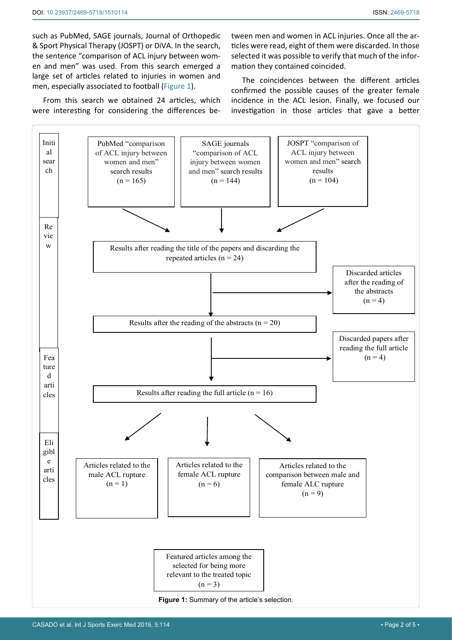such as PubMed, SAGE journals, Journal of Orthopedic & Sport Physical Therapy (JOSPT) or DiVA. In the search, the sentence "comparison of ACL injury between women and men" was used. From this search emerged a large set of articles related to injuries in women and men, especially associated to football ([Figure 1\)](#page-1-0).

From this search we obtained 24 articles, which were interesting for considering the differences between men and women in ACL injuries. Once all the articles were read, eight of them were discarded. In those selected it was possible to verify that much of the information they contained coincided.

The coincidences between the different articles confirmed the possible causes of the greater female incidence in the ACL lesion. Finally, we focused our investigation in those articles that gave a better

<span id="page-1-0"></span>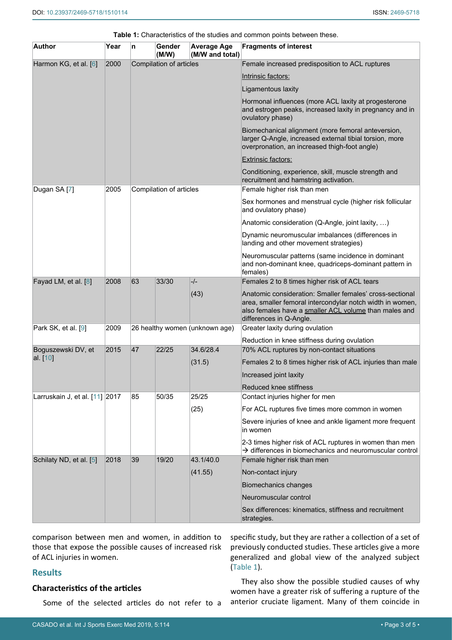| <b>Author</b>                  | Year | n                              | Gender<br>(M/W) | <b>Average Age</b><br>(M/W and total) | <b>Fragments of interest</b>                                                                                                                                                                              |
|--------------------------------|------|--------------------------------|-----------------|---------------------------------------|-----------------------------------------------------------------------------------------------------------------------------------------------------------------------------------------------------------|
| Harmon KG, et al. [6]          | 2000 | Compilation of articles        |                 |                                       | Female increased predisposition to ACL ruptures                                                                                                                                                           |
|                                |      |                                |                 |                                       | Intrinsic factors:                                                                                                                                                                                        |
|                                |      |                                |                 |                                       | Ligamentous laxity                                                                                                                                                                                        |
|                                |      |                                |                 |                                       | Hormonal influences (more ACL laxity at progesterone<br>and estrogen peaks, increased laxity in pregnancy and in<br>ovulatory phase)                                                                      |
|                                |      |                                |                 |                                       | Biomechanical alignment (more femoral anteversion,<br>larger Q-Angle, increased external tibial torsion, more<br>overpronation, an increased thigh-foot angle)                                            |
|                                |      |                                |                 |                                       | <b>Extrinsic factors:</b>                                                                                                                                                                                 |
|                                |      |                                |                 |                                       | Conditioning, experience, skill, muscle strength and<br>recruitment and hamstring activation.                                                                                                             |
| Dugan SA [7]                   | 2005 | Compilation of articles        |                 |                                       | Female higher risk than men                                                                                                                                                                               |
|                                |      |                                |                 |                                       | Sex hormones and menstrual cycle (higher risk follicular<br>and ovulatory phase)                                                                                                                          |
|                                |      |                                |                 |                                       | Anatomic consideration (Q-Angle, joint laxity, )                                                                                                                                                          |
|                                |      |                                |                 |                                       | Dynamic neuromuscular imbalances (differences in<br>landing and other movement strategies)                                                                                                                |
|                                |      |                                |                 |                                       | Neuromuscular patterns (same incidence in dominant<br>and non-dominant knee, quadriceps-dominant pattern in<br>females)                                                                                   |
| Fayad LM, et al. [8]           | 2008 | 63                             | 33/30           | -/-                                   | Females 2 to 8 times higher risk of ACL tears                                                                                                                                                             |
|                                |      |                                |                 | (43)                                  | Anatomic consideration: Smaller females' cross-sectional<br>area, smaller femoral intercondylar notch width in women,<br>also females have a smaller ACL volume than males and<br>differences in Q-Angle. |
| Park SK, et al. [9]            | 2009 | 26 healthy women (unknown age) |                 |                                       | Greater laxity during ovulation                                                                                                                                                                           |
|                                |      |                                |                 |                                       | Reduction in knee stiffness during ovulation                                                                                                                                                              |
| Boguszewski DV, et<br>al. [10] | 2015 | 47                             | 22/25           | 34.6/28.4                             | 70% ACL ruptures by non-contact situations                                                                                                                                                                |
|                                |      |                                |                 | (31.5)                                | Females 2 to 8 times higher risk of ACL injuries than male                                                                                                                                                |
|                                |      |                                |                 |                                       | Increased joint laxity                                                                                                                                                                                    |
|                                |      |                                |                 |                                       | Reduced knee stiffness                                                                                                                                                                                    |
| Larruskain J, et al. [11] 2017 |      | 85                             | 50/35           | 25/25                                 | Contact injuries higher for men                                                                                                                                                                           |
|                                |      |                                |                 | (25)                                  | For ACL ruptures five times more common in women                                                                                                                                                          |
|                                |      |                                |                 |                                       | Severe injuries of knee and ankle ligament more frequent<br>in women                                                                                                                                      |
|                                |      |                                |                 |                                       | 2-3 times higher risk of ACL ruptures in women than men<br>$\rightarrow$ differences in biomechanics and neuromuscular control                                                                            |
| Schilaty ND, et al. [5]        | 2018 | 39                             | 19/20           | 43.1/40.0                             | Female higher risk than men                                                                                                                                                                               |
|                                |      |                                |                 | (41.55)                               | Non-contact injury                                                                                                                                                                                        |
|                                |      |                                |                 |                                       | Biomechanics changes                                                                                                                                                                                      |
|                                |      |                                |                 |                                       | Neuromuscular control                                                                                                                                                                                     |
|                                |      |                                |                 |                                       | Sex differences: kinematics, stiffness and recruitment<br>strategies.                                                                                                                                     |

<span id="page-2-0"></span>**Table 1:** Characteristics of the studies and common points between these.

comparison between men and women, in addition to those that expose the possible causes of increased risk of ACL injuries in women.

## **Results**

## **Characteristics of the articles**

Some of the selected articles do not refer to a

specific study, but they are rather a collection of a set of previously conducted studies. These articles give a more generalized and global view of the analyzed subject ([Table 1](#page-2-0)).

They also show the possible studied causes of why women have a greater risk of suffering a rupture of the anterior cruciate ligament. Many of them coincide in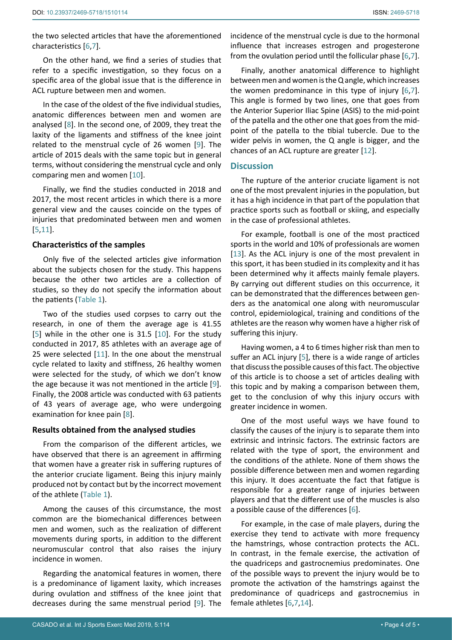the two selected articles that have the aforementioned characteristics [[6](#page-4-4)[,7\]](#page-4-6).

On the other hand, we find a series of studies that refer to a specific investigation, so they focus on a specific area of the global issue that is the difference in ACL rupture between men and women.

In the case of the oldest of the five individual studies, anatomic differences between men and women are analysed [[8\]](#page-4-7). In the second one, of 2009, they treat the laxity of the ligaments and stiffness of the knee joint related to the menstrual cycle of 26 women [[9\]](#page-4-8). The article of 2015 deals with the same topic but in general terms, without considering the menstrual cycle and only comparing men and women [[10](#page-4-9)].

Finally, we find the studies conducted in 2018 and 2017, the most recent articles in which there is a more general view and the causes coincide on the types of injuries that predominated between men and women [[5](#page-4-3)[,11](#page-4-10)].

## **Characteristics of the samples**

Only five of the selected articles give information about the subjects chosen for the study. This happens because the other two articles are a collection of studies, so they do not specify the information about the patients [\(Table 1](#page-2-0)).

Two of the studies used corpses to carry out the research, in one of them the average age is 41.55 [[5](#page-4-3)] while in the other one is 31.5 [[10\]](#page-4-9). For the study conducted in 2017, 85 athletes with an average age of 25 were selected [[11](#page-4-10)]. In the one about the menstrual cycle related to laxity and stiffness, 26 healthy women were selected for the study, of which we don't know the age because it was not mentioned in the article [[9](#page-4-8)]. Finally, the 2008 article was conducted with 63 patients of 43 years of average age, who were undergoing examination for knee pain [[8](#page-4-7)].

## **Results obtained from the analysed studies**

From the comparison of the different articles, we have observed that there is an agreement in affirming that women have a greater risk in suffering ruptures of the anterior cruciate ligament. Being this injury mainly produced not by contact but by the incorrect movement of the athlete ([Table 1](#page-2-0)).

Among the causes of this circumstance, the most common are the biomechanical differences between men and women, such as the realization of different movements during sports, in addition to the different neuromuscular control that also raises the injury incidence in women.

Regarding the anatomical features in women, there is a predominance of ligament laxity, which increases during ovulation and stiffness of the knee joint that decreases during the same menstrual period [[9\]](#page-4-8). The

Finally, another anatomical difference to highlight between men and women is the Q angle, which increases the women predominance in this type of injury [[6](#page-4-4)[,7\]](#page-4-6). This angle is formed by two lines, one that goes from the Anterior Superior Iliac Spine (ASIS) to the mid-point of the patella and the other one that goes from the midpoint of the patella to the tibial tubercle. Due to the wider pelvis in women, the Q angle is bigger, and the chances of an ACL rupture are greater [[12](#page-4-11)].

## **Discussion**

The rupture of the anterior cruciate ligament is not one of the most prevalent injuries in the population, but it has a high incidence in that part of the population that practice sports such as football or skiing, and especially in the case of professional athletes.

For example, football is one of the most practiced sports in the world and 10% of professionals are women [[13](#page-4-12)]. As the ACL injury is one of the most prevalent in this sport, it has been studied in its complexity and it has been determined why it affects mainly female players. By carrying out different studies on this occurrence, it can be demonstrated that the differences between genders as the anatomical one along with neuromuscular control, epidemiological, training and conditions of the athletes are the reason why women have a higher risk of suffering this injury.

Having women, a 4 to 6 times higher risk than men to suffer an ACL injury [[5](#page-4-3)], there is a wide range of articles that discuss the possible causes of this fact. The objective of this article is to choose a set of articles dealing with this topic and by making a comparison between them, get to the conclusion of why this injury occurs with greater incidence in women.

One of the most useful ways we have found to classify the causes of the injury is to separate them into extrinsic and intrinsic factors. The extrinsic factors are related with the type of sport, the environment and the conditions of the athlete. None of them shows the possible difference between men and women regarding this injury. It does accentuate the fact that fatigue is responsible for a greater range of injuries between players and that the different use of the muscles is also a possible cause of the differences [[6\]](#page-4-4).

For example, in the case of male players, during the exercise they tend to activate with more frequency the hamstrings, whose contraction protects the ACL. In contrast, in the female exercise, the activation of the quadriceps and gastrocnemius predominates. One of the possible ways to prevent the injury would be to promote the activation of the hamstrings against the predominance of quadriceps and gastrocnemius in female athletes [[6](#page-4-4)[,7,](#page-4-6)[14\]](#page-4-13).